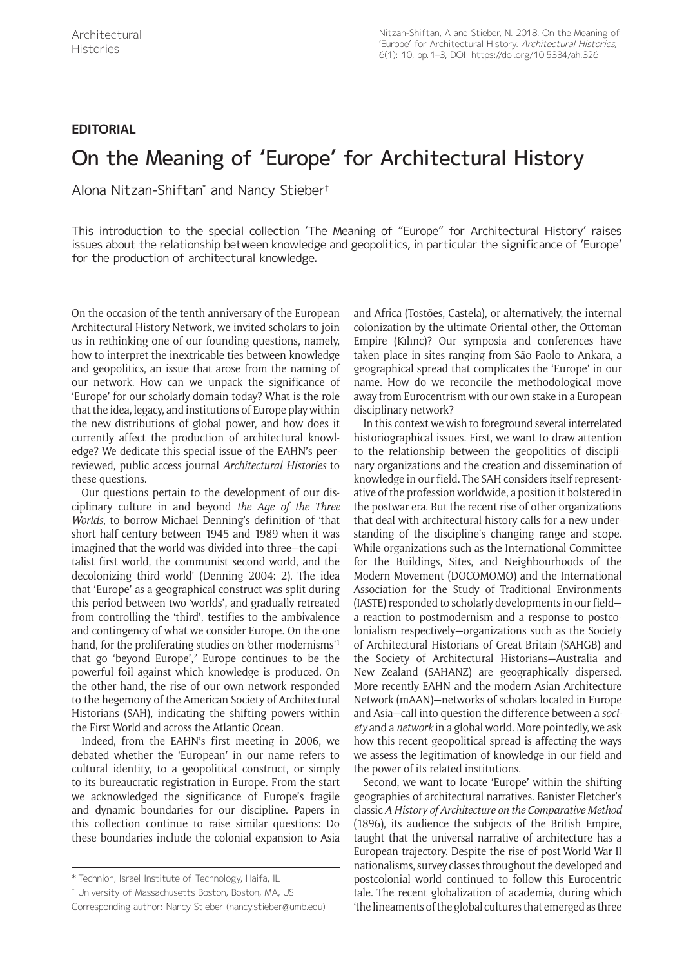# **EDITORIAL**

# On the Meaning of 'Europe' for Architectural History

Alona Nitzan-Shiftan\* and Nancy Stieber†

This introduction to the special collection 'The Meaning of "Europe" for Architectural History' raises issues about the relationship between knowledge and geopolitics, in particular the significance of 'Europe' for the production of architectural knowledge.

On the occasion of the tenth anniversary of the European Architectural History Network, we invited scholars to join us in rethinking one of our founding questions, namely, how to interpret the inextricable ties between knowledge and geopolitics, an issue that arose from the naming of our network. How can we unpack the significance of 'Europe' for our scholarly domain today? What is the role that the idea, legacy, and institutions of Europe play within the new distributions of global power, and how does it currently affect the production of architectural knowledge? We dedicate this special issue of the EAHN's peerreviewed, public access journal *Architectural Histories* to these questions.

Our questions pertain to the development of our disciplinary culture in and beyond *the Age of the Three Worlds*, to borrow Michael Denning's definition of 'that short half century between 1945 and 1989 when it was imagined that the world was divided into three—the capitalist first world, the communist second world, and the decolonizing third world' (Denning 2004: 2). The idea that 'Europe' as a geographical construct was split during this period between two 'worlds', and gradually retreated from controlling the 'third', testifies to the ambivalence and contingency of what we consider Europe. On the one hand, for the proliferating studies on 'other modernisms'<sup>1</sup> that go 'beyond Europe', $2$  Europe continues to be the powerful foil against which knowledge is produced. On the other hand, the rise of our own network responded to the hegemony of the American Society of Architectural Historians (SAH), indicating the shifting powers within the First World and across the Atlantic Ocean.

Indeed, from the EAHN's first meeting in 2006, we debated whether the 'European' in our name refers to cultural identity, to a geopolitical construct, or simply to its bureaucratic registration in Europe. From the start we acknowledged the significance of Europe's fragile and dynamic boundaries for our discipline. Papers in this collection continue to raise similar questions: Do these boundaries include the colonial expansion to Asia

and Africa (Tostões, Castela), or alternatively, the internal colonization by the ultimate Oriental other, the Ottoman Empire (Kılınc)? Our symposia and conferences have taken place in sites ranging from São Paolo to Ankara, a geographical spread that complicates the 'Europe' in our name. How do we reconcile the methodological move away from Eurocentrism with our own stake in a European disciplinary network?

In this context we wish to foreground several interrelated historiographical issues. First, we want to draw attention to the relationship between the geopolitics of disciplinary organizations and the creation and dissemination of knowledge in our field. The SAH considers itself representative of the profession worldwide, a position it bolstered in the postwar era. But the recent rise of other organizations that deal with architectural history calls for a new understanding of the discipline's changing range and scope. While organizations such as the International Committee for the Buildings, Sites, and Neighbourhoods of the Modern Movement (DOCOMOMO) and the International Association for the Study of Traditional Environments (IASTE) responded to scholarly developments in our field a reaction to postmodernism and a response to postcolonialism respectively—organizations such as the Society of Architectural Historians of Great Britain (SAHGB) and the Society of Architectural Historians—Australia and New Zealand (SAHANZ) are geographically dispersed. More recently EAHN and the modern Asian Architecture Network (mAAN)—networks of scholars located in Europe and Asia—call into question the difference between a *society* and a *network* in a global world. More pointedly, we ask how this recent geopolitical spread is affecting the ways we assess the legitimation of knowledge in our field and the power of its related institutions.

Second, we want to locate 'Europe' within the shifting geographies of architectural narratives. Banister Fletcher's classic *A History of Architecture on the Comparative Method* (1896), its audience the subjects of the British Empire, taught that the universal narrative of architecture has a European trajectory. Despite the rise of post-World War II nationalisms, survey classes throughout the developed and postcolonial world continued to follow this Eurocentric tale. The recent globalization of academia, during which 'the lineaments of the global cultures that emerged as three

<sup>\*</sup> Technion, Israel Institute of Technology, Haifa, IL

<sup>†</sup> University of Massachusetts Boston, Boston, MA, US

Corresponding author: Nancy Stieber [\(nancy.stieber@umb.edu\)](mailto:nancy.stieber@umb.edu)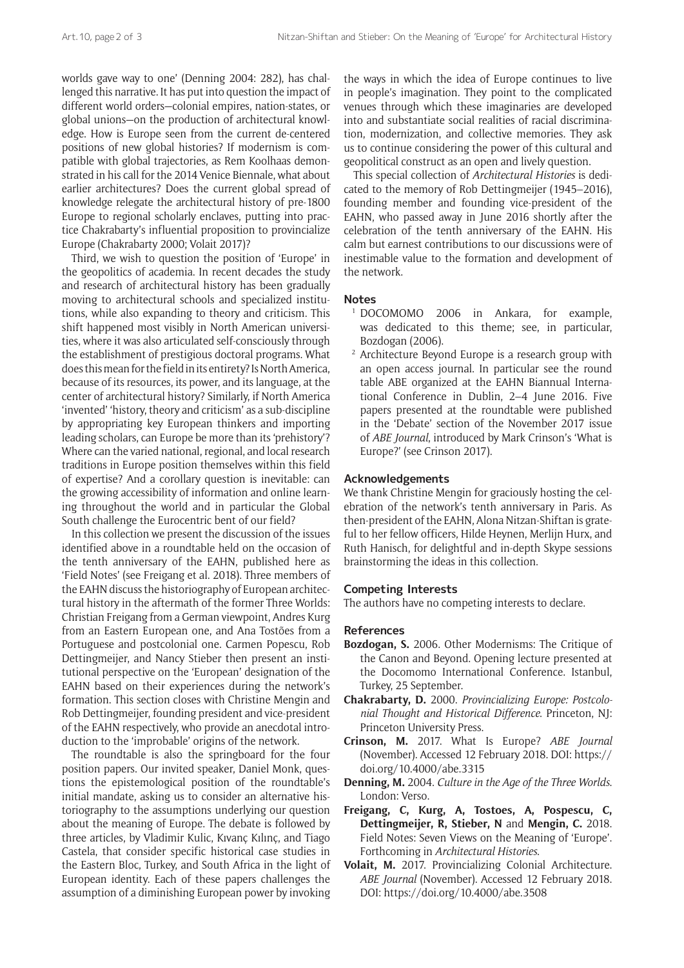worlds gave way to one' (Denning 2004: 282), has challenged this narrative. It has put into question the impact of different world orders—colonial empires, nation-states, or global unions—on the production of architectural knowledge. How is Europe seen from the current de-centered positions of new global histories? If modernism is compatible with global trajectories, as Rem Koolhaas demonstrated in his call for the 2014 Venice Biennale, what about earlier architectures? Does the current global spread of knowledge relegate the architectural history of pre-1800 Europe to regional scholarly enclaves, putting into practice Chakrabarty's influential proposition to provincialize Europe (Chakrabarty 2000; Volait 2017)?

Third, we wish to question the position of 'Europe' in the geopolitics of academia. In recent decades the study and research of architectural history has been gradually moving to architectural schools and specialized institutions, while also expanding to theory and criticism. This shift happened most visibly in North American universities, where it was also articulated self-consciously through the establishment of prestigious doctoral programs. What does this mean for the field in its entirety? Is North America, because of its resources, its power, and its language, at the center of architectural history? Similarly, if North America 'invented' 'history, theory and criticism' as a sub-discipline by appropriating key European thinkers and importing leading scholars, can Europe be more than its 'prehistory'? Where can the varied national, regional, and local research traditions in Europe position themselves within this field of expertise? And a corollary question is inevitable: can the growing accessibility of information and online learning throughout the world and in particular the Global South challenge the Eurocentric bent of our field?

In this collection we present the discussion of the issues identified above in a roundtable held on the occasion of the tenth anniversary of the EAHN, published here as 'Field Notes' (see Freigang et al. 2018). Three members of the EAHN discuss the historiography of European architectural history in the aftermath of the former Three Worlds: Christian Freigang from a German viewpoint, Andres Kurg from an Eastern European one, and Ana Tostões from a Portuguese and postcolonial one. Carmen Popescu, Rob Dettingmeijer, and Nancy Stieber then present an institutional perspective on the 'European' designation of the EAHN based on their experiences during the network's formation. This section closes with Christine Mengin and Rob Dettingmeijer, founding president and vice-president of the EAHN respectively, who provide an anecdotal introduction to the 'improbable' origins of the network.

The roundtable is also the springboard for the four position papers. Our invited speaker, Daniel Monk, questions the epistemological position of the roundtable's initial mandate, asking us to consider an alternative historiography to the assumptions underlying our question about the meaning of Europe. The debate is followed by three articles, by Vladimir Kulic, Kıvanç Kılınç, and Tiago Castela, that consider specific historical case studies in the Eastern Bloc, Turkey, and South Africa in the light of European identity. Each of these papers challenges the assumption of a diminishing European power by invoking

the ways in which the idea of Europe continues to live in people's imagination. They point to the complicated venues through which these imaginaries are developed into and substantiate social realities of racial discrimination, modernization, and collective memories. They ask us to continue considering the power of this cultural and geopolitical construct as an open and lively question.

This special collection of *Architectural Histories* is dedicated to the memory of Rob Dettingmeijer (1945–2016), founding member and founding vice-president of the EAHN, who passed away in June 2016 shortly after the celebration of the tenth anniversary of the EAHN. His calm but earnest contributions to our discussions were of inestimable value to the formation and development of the network.

### **Notes**

- <sup>1</sup> DOCOMOMO 2006 in Ankara, for example, was dedicated to this theme; see, in particular, Bozdogan (2006).
- <sup>2</sup> Architecture Beyond Europe is a research group with an open access journal. In particular see the round table ABE organized at the EAHN Biannual International Conference in Dublin, 2–4 June 2016. Five papers presented at the roundtable were published in the 'Debate' section of the November 2017 issue of *ABE Journal*, introduced by Mark Crinson's 'What is Europe?' (see Crinson 2017).

## **Acknowledgements**

We thank Christine Mengin for graciously hosting the celebration of the network's tenth anniversary in Paris. As then-president of the EAHN, Alona Nitzan-Shiftan is grateful to her fellow officers, Hilde Heynen, Merlijn Hurx, and Ruth Hanisch, for delightful and in-depth Skype sessions brainstorming the ideas in this collection.

#### **Competing Interests**

The authors have no competing interests to declare.

#### **References**

- **Bozdogan, S.** 2006. Other Modernisms: The Critique of the Canon and Beyond. Opening lecture presented at the Docomomo International Conference. Istanbul, Turkey, 25 September.
- **Chakrabarty, D.** 2000. *Provincializing Europe: Postcolonial Thought and Historical Difference*. Princeton, NJ: Princeton University Press.
- **Crinson, M.** 2017. What Is Europe? *ABE Journal* (November). Accessed 12 February 2018. DOI: [https://](https://doi.org/10.4000/abe.3315) [doi.org/10.4000/abe.3315](https://doi.org/10.4000/abe.3315)
- **Denning, M.** 2004. *Culture in the Age of the Three Worlds*. London: Verso.
- **Freigang, C, Kurg, A, Tostoes, A, Pospescu, C, Dettingmeijer, R, Stieber, N** and **Mengin, C.** 2018. Field Notes: Seven Views on the Meaning of 'Europe'. Forthcoming in *Architectural Histories*.
- **Volait, M.** 2017. Provincializing Colonial Architecture. *ABE Journal* (November). Accessed 12 February 2018. DOI:<https://doi.org/10.4000/abe.3508>